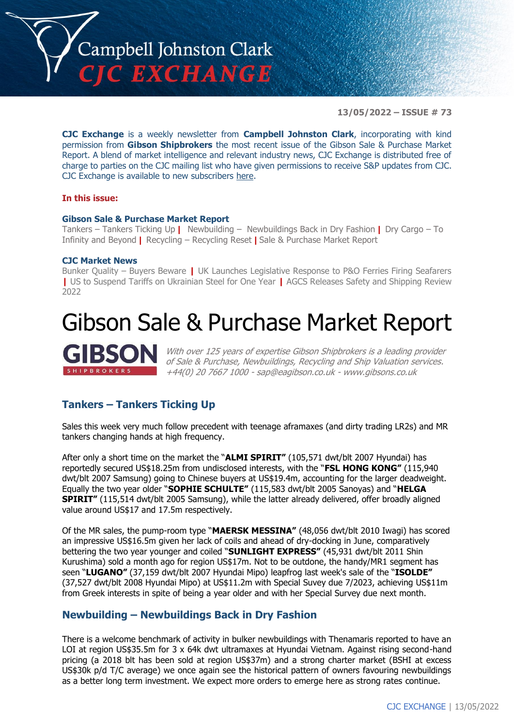

**13/05/2022 – ISSUE # 73**

**CJC Exchange** is a weekly newsletter from **Campbell Johnston Clark**, incorporating with kind permission from **Gibson Shipbrokers** the most recent issue of the Gibson Sale & Purchase Market Report. A blend of market intelligence and relevant industry news, CJC Exchange is distributed free of charge to parties on the CJC mailing list who have given permissions to receive S&P updates from CJC. CJC Exchange is available to new subscribers [here.](mailto:jamesc@cjclaw.com?subject=CJC%20Exchange%20sign-up)

#### **In this issue:**

#### **Gibson Sale & Purchase Market Report**

Tankers – Tankers Ticking Up **|** Newbuilding – Newbuildings Back in Dry Fashion **|** Dry Cargo – To Infinity and Beyond **|** Recycling – Recycling Reset **|** Sale & Purchase Market Report

#### **CJC Market News**

Bunker Quality – Buyers Beware **|** UK Launches Legislative Response to P&O Ferries Firing Seafarers **|** US to Suspend Tariffs on Ukrainian Steel for One Year **|** AGCS Releases Safety and Shipping Review 2022

## Gibson Sale & Purchase Market Report

With over 125 years of expertise Gibson Shipbrokers is a leading provider of Sale & Purchase, Newbuildings, Recycling and Ship Valuation services. +44(0) 20 7667 1000 - [sap@eagibson.co.uk](mailto:sap@eagibson.co.uk) - [www.gibsons.co.uk](https://protect-eu.mimecast.com/s/VO6nCGZzRS60KqcK1jQh/)

#### **Tankers – Tankers Ticking Up**

Sales this week very much follow precedent with teenage aframaxes (and dirty trading LR2s) and MR tankers changing hands at high frequency.

After only a short time on the market the "**ALMI SPIRIT"** (105,571 dwt/blt 2007 Hyundai) has reportedly secured US\$18.25m from undisclosed interests, with the "**FSL HONG KONG"** (115,940 dwt/blt 2007 Samsung) going to Chinese buyers at US\$19.4m, accounting for the larger deadweight. Equally the two year older "**SOPHIE SCHULTE"** (115,583 dwt/blt 2005 Sanoyas) and "**HELGA SPIRIT"** (115,514 dwt/blt 2005 Samsung), while the latter already delivered, offer broadly aligned value around US\$17 and 17.5m respectively.

Of the MR sales, the pump-room type "**MAERSK MESSINA"** (48,056 dwt/blt 2010 Iwagi) has scored an impressive US\$16.5m given her lack of coils and ahead of dry-docking in June, comparatively bettering the two year younger and coiled "**SUNLIGHT EXPRESS"** (45,931 dwt/blt 2011 Shin Kurushima) sold a month ago for region US\$17m. Not to be outdone, the handy/MR1 segment has seen "**LUGANO"** (37,159 dwt/blt 2007 Hyundai Mipo) leapfrog last week's sale of the "**ISOLDE"**  (37,527 dwt/blt 2008 Hyundai Mipo) at US\$11.2m with Special Suvey due 7/2023, achieving US\$11m from Greek interests in spite of being a year older and with her Special Survey due next month.

#### **Newbuilding – Newbuildings Back in Dry Fashion**

There is a welcome benchmark of activity in bulker newbuildings with Thenamaris reported to have an LOI at region US\$35.5m for 3 x 64k dwt ultramaxes at Hyundai Vietnam. Against rising second-hand pricing (a 2018 blt has been sold at region US\$37m) and a strong charter market (BSHI at excess US\$30k p/d T/C average) we once again see the historical pattern of owners favouring newbuildings as a better long term investment. We expect more orders to emerge here as strong rates continue.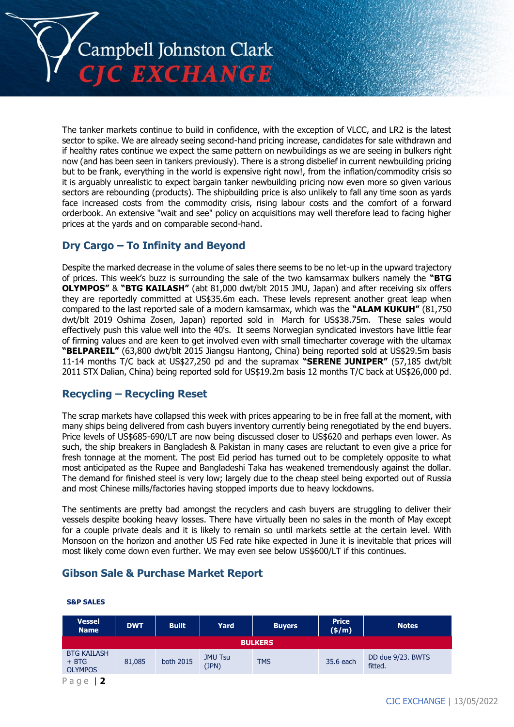

The tanker markets continue to build in confidence, with the exception of VLCC, and LR2 is the latest sector to spike. We are already seeing second-hand pricing increase, candidates for sale withdrawn and if healthy rates continue we expect the same pattern on newbuildings as we are seeing in bulkers right now (and has been seen in tankers previously). There is a strong disbelief in current newbuilding pricing but to be frank, everything in the world is expensive right now!, from the inflation/commodity crisis so it is arguably unrealistic to expect bargain tanker newbuilding pricing now even more so given various sectors are rebounding (products). The shipbuilding price is also unlikely to fall any time soon as yards face increased costs from the commodity crisis, rising labour costs and the comfort of a forward orderbook. An extensive "wait and see" policy on acquisitions may well therefore lead to facing higher prices at the yards and on comparable second-hand.

#### **Dry Cargo – To Infinity and Beyond**

Despite the marked decrease in the volume of sales there seems to be no let-up in the upward trajectory of prices. This week's buzz is surrounding the sale of the two kamsarmax bulkers namely the **"BTG OLYMPOS"** & **"BTG KAILASH"** (abt 81,000 dwt/blt 2015 JMU, Japan) and after receiving six offers they are reportedly committed at US\$35.6m each. These levels represent another great leap when compared to the last reported sale of a modern kamsarmax, which was the **"ALAM KUKUH"** (81,750 dwt/blt 2019 Oshima Zosen, Japan) reported sold in March for US\$38.75m. These sales would effectively push this value well into the 40's. It seems Norwegian syndicated investors have little fear of firming values and are keen to get involved even with small timecharter coverage with the ultamax **"BELPAREIL"** (63,800 dwt/blt 2015 Jiangsu Hantong, China) being reported sold at US\$29.5m basis 11-14 months T/C back at US\$27,250 pd and the supramax **"SERENE JUNIPER"** (57,185 dwt/blt 2011 STX Dalian, China) being reported sold for US\$19.2m basis 12 months T/C back at US\$26,000 pd.

#### **Recycling – Recycling Reset**

The scrap markets have collapsed this week with prices appearing to be in free fall at the moment, with many ships being delivered from cash buyers inventory currently being renegotiated by the end buyers. Price levels of US\$685-690/LT are now being discussed closer to US\$620 and perhaps even lower. As such, the ship breakers in Bangladesh & Pakistan in many cases are reluctant to even give a price for fresh tonnage at the moment. The post Eid period has turned out to be completely opposite to what most anticipated as the Rupee and Bangladeshi Taka has weakened tremendously against the dollar. The demand for finished steel is very low; largely due to the cheap steel being exported out of Russia and most Chinese mills/factories having stopped imports due to heavy lockdowns.

The sentiments are pretty bad amongst the recyclers and cash buyers are struggling to deliver their vessels despite booking heavy losses. There have virtually been no sales in the month of May except for a couple private deals and it is likely to remain so until markets settle at the certain level. With Monsoon on the horizon and another US Fed rate hike expected in June it is inevitable that prices will most likely come down even further. We may even see below US\$600/LT if this continues.

#### **Gibson Sale & Purchase Market Report**

| <b>Vessel</b><br><b>Name</b>                    | <b>DWT</b> | <b>Built</b> | Yard                    | <b>Buyers</b> | <b>Price</b><br>(\$/m) | <b>Notes</b>                 |
|-------------------------------------------------|------------|--------------|-------------------------|---------------|------------------------|------------------------------|
| <b>BULKERS</b>                                  |            |              |                         |               |                        |                              |
| <b>BTG KAILASH</b><br>$+$ BTG<br><b>OLYMPOS</b> | 81,085     | both 2015    | <b>JMU Tsu</b><br>(JPN) | <b>TMS</b>    | 35.6 each              | DD due 9/23. BWTS<br>fitted. |
| Page                                            |            |              |                         |               |                        |                              |

#### **S&P SALES**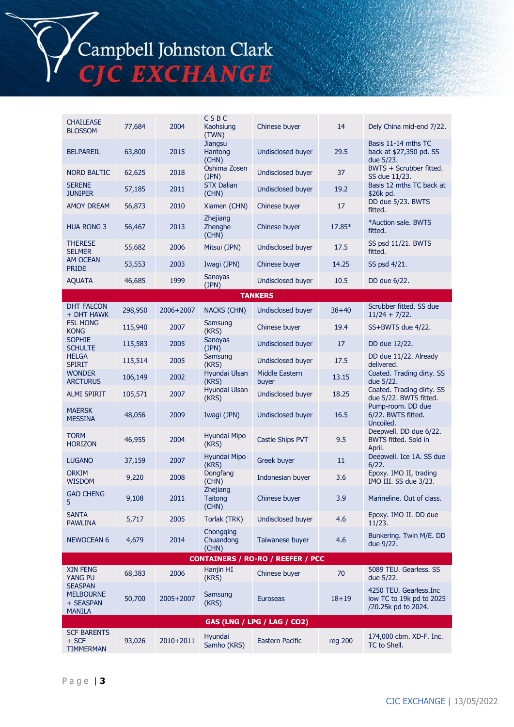# Campbell Johnston Clark<br>CJC EXCHANGE

| <b>CHAILEASE</b><br><b>BLOSSOM</b>                               | 77,684  | 2004      | CSBC<br>Kaohsiung<br>(TWN)      | Chinese buyer           | 14        | Dely China mid-end 7/22.                                                  |  |
|------------------------------------------------------------------|---------|-----------|---------------------------------|-------------------------|-----------|---------------------------------------------------------------------------|--|
| <b>BELPAREIL</b>                                                 | 63,800  | 2015      | <b>Jiangsu</b><br>Hantong       | Undisclosed buyer       | 29.5      | Basis 11-14 mths TC<br>back at \$27,350 pd. SS                            |  |
| <b>NORD BALTIC</b>                                               | 62,625  | 2018      | (CHN)<br>Oshima Zosen<br>(JPN)  | Undisclosed buyer       | 37        | due 5/23.<br>BWTS + Scrubber fitted.<br>SS due 11/23.                     |  |
| <b>SERENE</b><br><b>JUNIPER</b>                                  | 57,185  | 2011      | <b>STX Dalian</b><br>(CHN)      | Undisclosed buyer       | 19.2      | Basis 12 mths TC back at<br>\$26k pd.                                     |  |
| <b>AMOY DREAM</b>                                                | 56,873  | 2010      | Xiamen (CHN)                    | Chinese buyer           | 17        | DD due 5/23. BWTS<br>fitted.                                              |  |
| <b>HUA RONG 3</b>                                                | 56,467  | 2013      | Zhejiang<br>Zhenghe<br>(CHN)    | Chinese buyer           | 17.85*    | *Auction sale, BWTS<br>fitted.                                            |  |
| <b>THERESE</b><br><b>SELMER</b>                                  | 55,682  | 2006      | Mitsui (JPN)                    | Undisclosed buyer       | 17.5      | SS psd 11/21. BWTS<br>fitted.                                             |  |
| <b>AM OCEAN</b><br><b>PRIDE</b>                                  | 53,553  | 2003      | Iwagi (JPN)                     | Chinese buyer           | 14.25     | SS psd 4/21.                                                              |  |
| <b>AQUATA</b>                                                    | 46,685  | 1999      | Sanoyas<br>(JPN)                | Undisclosed buyer       | 10.5      | DD due 6/22.                                                              |  |
|                                                                  |         |           |                                 | <b>TANKERS</b>          |           |                                                                           |  |
| <b>DHT FALCON</b><br>+ DHT HAWK                                  | 298,950 | 2006+2007 | <b>NACKS (CHN)</b>              | Undisclosed buyer       | $38 + 40$ | Scrubber fitted. SS due<br>$11/24 + 7/22$ .                               |  |
| <b>FSL HONG</b><br><b>KONG</b>                                   | 115,940 | 2007      | Samsung<br>(KRS)                | Chinese buyer           | 19.4      | SS+BWTS due 4/22.                                                         |  |
| <b>SOPHIE</b><br><b>SCHULTE</b>                                  | 115,583 | 2005      | Sanoyas<br>(JPN)                | Undisclosed buyer       | 17        | DD due 12/22.                                                             |  |
| <b>HELGA</b><br><b>SPIRIT</b>                                    | 115,514 | 2005      | Samsung<br>(KRS)                | Undisclosed buyer       | 17.5      | DD due 11/22. Already<br>delivered.                                       |  |
| <b>WONDER</b><br><b>ARCTURUS</b>                                 | 106,149 | 2002      | Hyundai Ulsan<br>(KRS)          | Middle Eastern<br>buyer | 13.15     | Coated. Trading dirty. SS<br>due 5/22.                                    |  |
| <b>ALMI SPIRIT</b>                                               | 105,571 | 2007      | Hyundai Ulsan<br>(KRS)          | Undisclosed buyer       | 18.25     | Coated. Trading dirty. SS<br>due 5/22. BWTS fitted.                       |  |
| <b>MAERSK</b><br><b>MESSINA</b>                                  | 48,056  | 2009      | Iwagi (JPN)                     | Undisclosed buyer       | 16.5      | Pump-room. DD due<br>6/22. BWTS fitted.<br>Uncoiled.                      |  |
| <b>TORM</b><br><b>HORIZON</b>                                    | 46,955  | 2004      | Hyundai Mipo<br>(KRS)           | Castle Ships PVT        | 9.5       | Deepwell. DD due 6/22.<br>BWTS fitted. Sold in<br>April.                  |  |
| <b>LUGANO</b>                                                    | 37,159  | 2007      | Hyundai Mipo<br>(KRS)           | Greek buyer             | 11        | Deepwell. Ice 1A. SS due<br>6/22.                                         |  |
| <b>ORKIM</b><br><b>WISDOM</b>                                    | 9,220   | 2008      | Dongfang<br>(CHN)               | Indonesian buyer        | 3.6       | Epoxy. IMO II, trading<br>IMO III. SS due 3/23.                           |  |
| <b>GAO CHENG</b>                                                 | 9,108   | 2011      | Zhejiang<br>Taitong<br>(CHN)    | Chinese buyer           | 3.9       | Marineline. Out of class.                                                 |  |
| <b>SANTA</b><br><b>PAWLINA</b>                                   | 5,717   | 2005      | Torlak (TRK)                    | Undisclosed buyer       | 4.6       | Epoxy. IMO II. DD due<br>11/23.                                           |  |
| <b>NEWOCEAN 6</b>                                                | 4,679   | 2014      | Chongging<br>Chuandong<br>(CHN) | Taiwanese buyer         | 4.6       | Bunkering. Twin M/E. DD<br>due 9/22.                                      |  |
| <b>CONTAINERS / RO-RO / REEFER / PCC</b>                         |         |           |                                 |                         |           |                                                                           |  |
| <b>XIN FENG</b><br>YANG PU                                       | 68,383  | 2006      | Hanjin HI<br>(KRS)              | Chinese buyer           | 70        | 5089 TEU. Gearless. SS<br>due 5/22.                                       |  |
| <b>SEASPAN</b><br><b>MELBOURNE</b><br>+ SEASPAN<br><b>MANILA</b> | 50,700  | 2005+2007 | Samsung<br>(KRS)                | <b>Euroseas</b>         | $18 + 19$ | 4250 TEU. Gearless.Inc<br>low TC to 19k pd to 2025<br>/20.25k pd to 2024. |  |
| GAS (LNG / LPG / LAG / CO2)                                      |         |           |                                 |                         |           |                                                                           |  |
| <b>SCF BARENTS</b><br>$+$ SCF<br><b>TIMMERMAN</b>                | 93,026  | 2010+2011 | Hyundai<br>Samho (KRS)          | <b>Eastern Pacific</b>  | reg 200   | 174,000 cbm. XD-F. Inc.<br>TC to Shell.                                   |  |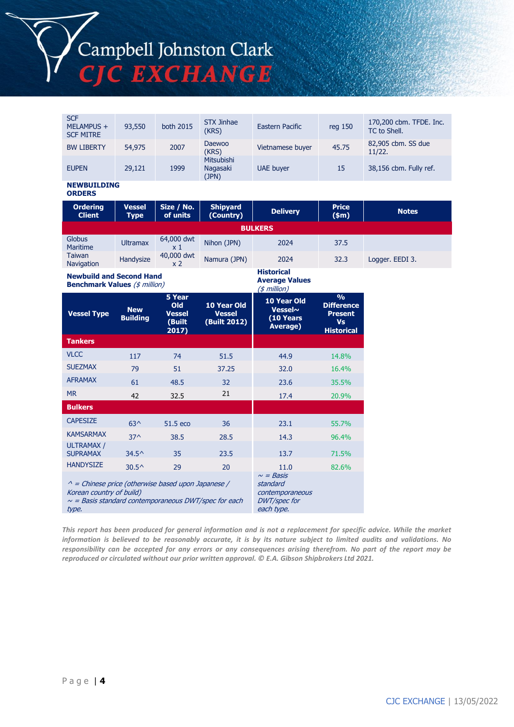# Campbell Johnston Clark CJC EXCHANGE

| <b>Ordering</b><br><b>Client</b>             | <b>Vessel</b><br><b>Type</b> | Size / No.<br>of units | <b>Shipyard</b><br>(Country)           | <b>Delivery</b>  | <b>Price</b><br>(\$m) | <b>Notes</b>                            |
|----------------------------------------------|------------------------------|------------------------|----------------------------------------|------------------|-----------------------|-----------------------------------------|
| <b>NEWBUILDING</b><br><b>ORDERS</b>          |                              |                        |                                        |                  |                       |                                         |
| <b>EUPEN</b>                                 | 29,121                       | 1999                   | <b>Mitsubishi</b><br>Nagasaki<br>(JPN) | <b>UAE</b> buyer | 15                    | 38,156 cbm. Fully ref.                  |
| <b>BW LIBERTY</b>                            | 54,975                       | 2007                   | Daewoo<br>(KRS)                        | Vietnamese buyer | 45.75                 | 82,905 cbm. SS due<br>11/22.            |
| <b>SCF</b><br>MELAMPUS +<br><b>SCF MITRE</b> | 93,550                       | both 2015              | <b>STX Jinhae</b><br>(KRS)             | Eastern Pacific  | reg 150               | 170,200 cbm. TFDE. Inc.<br>TC to Shell. |

| 01 Y.H. 111 Y<br><b>Client</b>     | ,,,,,,<br><b>Type</b> | 522110<br>of units           | <b>Supyuru</b><br>(Country) | <b>Delivery</b>   | .<br>$(\$m)$ | <b>Notes</b>    |  |
|------------------------------------|-----------------------|------------------------------|-----------------------------|-------------------|--------------|-----------------|--|
| <b>BULKERS</b>                     |                       |                              |                             |                   |              |                 |  |
| Globus<br><b>Maritime</b>          | <b>Ultramax</b>       | 64,000 dwt<br>x 1            | Nihon (JPN)                 | 2024              | 37.5         |                 |  |
| <b>Taiwan</b><br><b>Navigation</b> | Handysize             | 40,000 dwt<br>x <sub>2</sub> | Namura (JPN)                | 2024              | 32.3         | Logger. EEDI 3. |  |
| .                                  | - -<br>----           |                              |                             | <b>Historical</b> |              |                 |  |

**Average Values**

**Newbuild and Second Hand Benchmark Values** (\$ million)

| <b>Benchmark values</b> (\$ <i>million</i> )                                                                                                                |                               | (\$ million)                                                                       |                                              |                                                         |                                                                                        |
|-------------------------------------------------------------------------------------------------------------------------------------------------------------|-------------------------------|------------------------------------------------------------------------------------|----------------------------------------------|---------------------------------------------------------|----------------------------------------------------------------------------------------|
| <b>Vessel Type</b>                                                                                                                                          | <b>New</b><br><b>Building</b> | 5 Year<br><b>Old</b><br><b>Vessel</b><br>(Built<br>2017)                           | 10 Year Old<br><b>Vessel</b><br>(Built 2012) | 10 Year Old<br><b>Vessel~</b><br>(10 Years)<br>Average) | $\frac{0}{0}$<br><b>Difference</b><br><b>Present</b><br><b>Vs</b><br><b>Historical</b> |
| <b>Tankers</b>                                                                                                                                              |                               |                                                                                    |                                              |                                                         |                                                                                        |
| <b>VLCC</b>                                                                                                                                                 | 117                           | 74                                                                                 | 51.5                                         | 44.9                                                    | 14.8%                                                                                  |
| <b>SUEZMAX</b>                                                                                                                                              | 79                            | 51                                                                                 | 37.25                                        | 32.0                                                    | 16.4%                                                                                  |
| <b>AFRAMAX</b>                                                                                                                                              | 61                            | 48.5                                                                               | 32                                           | 23.6                                                    | 35.5%                                                                                  |
| <b>MR</b>                                                                                                                                                   | 42                            | 32.5                                                                               | 21                                           | 17.4                                                    | 20.9%                                                                                  |
| <b>Bulkers</b>                                                                                                                                              |                               |                                                                                    |                                              |                                                         |                                                                                        |
| <b>CAPESIZE</b>                                                                                                                                             | $63^$                         | 51.5 eco                                                                           | 36                                           | 23.1                                                    | 55.7%                                                                                  |
| <b>KAMSARMAX</b>                                                                                                                                            | $37^$                         | 38.5                                                                               | 28.5                                         | 14.3                                                    | 96.4%                                                                                  |
| <b>ULTRAMAX /</b><br><b>SUPRAMAX</b>                                                                                                                        | $34.5^{\circ}$                | 35                                                                                 | 23.5                                         | 13.7                                                    | 71.5%                                                                                  |
| <b>HANDYSIZE</b>                                                                                                                                            | $30.5^{\circ}$                | 29                                                                                 | 20                                           | 11.0                                                    | 82.6%                                                                                  |
| $\wedge$ = Chinese price (otherwise based upon Japanese /<br>Korean country of build)<br>$\sim$ = Basis standard contemporaneous DWT/spec for each<br>type. |                               | $\sim$ = Basis<br>standard<br>contemporaneous<br><b>DWT/spec for</b><br>each type. |                                              |                                                         |                                                                                        |

*This report has been produced for general information and is not a replacement for specific advice. While the market information is believed to be reasonably accurate, it is by its nature subject to limited audits and validations. No responsibility can be accepted for any errors or any consequences arising therefrom. No part of the report may be reproduced or circulated without our prior written approval. © E.A. Gibson Shipbrokers Ltd 2021.*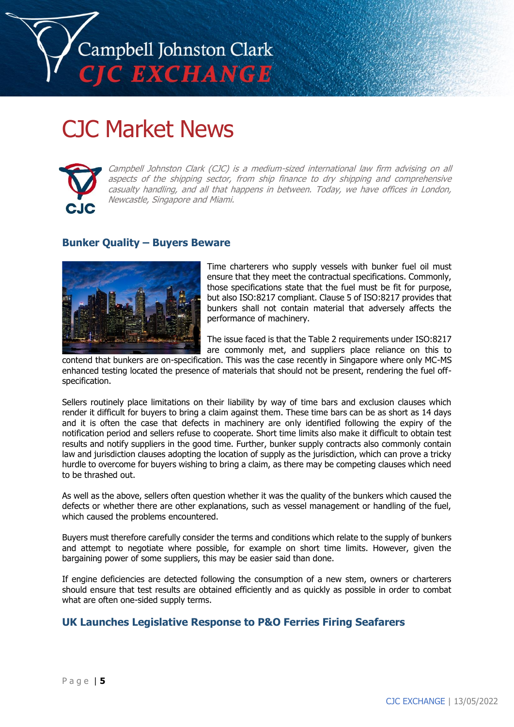

### CJC Market News



Campbell Johnston Clark (CJC) is a medium-sized international law firm advising on all aspects of the shipping sector, from ship finance to dry shipping and comprehensive casualty handling, and all that happens in between. Today, we have offices in London, Newcastle, Singapore and Miami.

#### **Bunker Quality – Buyers Beware**



Time charterers who supply vessels with bunker fuel oil must ensure that they meet the contractual specifications. Commonly, those specifications state that the fuel must be fit for purpose, but also ISO:8217 compliant. Clause 5 of ISO:8217 provides that bunkers shall not contain material that adversely affects the performance of machinery.

The issue faced is that the Table 2 requirements under ISO:8217 are commonly met, and suppliers place reliance on this to

contend that bunkers are on-specification. This was the case recently in Singapore where only MC-MS enhanced testing located the presence of materials that should not be present, rendering the fuel offspecification.

Sellers routinely place limitations on their liability by way of time bars and exclusion clauses which render it difficult for buyers to bring a claim against them. These time bars can be as short as 14 days and it is often the case that defects in machinery are only identified following the expiry of the notification period and sellers refuse to cooperate. Short time limits also make it difficult to obtain test results and notify suppliers in the good time. Further, bunker supply contracts also commonly contain law and jurisdiction clauses adopting the location of supply as the jurisdiction, which can prove a tricky hurdle to overcome for buyers wishing to bring a claim, as there may be competing clauses which need to be thrashed out.

As well as the above, sellers often question whether it was the quality of the bunkers which caused the defects or whether there are other explanations, such as vessel management or handling of the fuel, which caused the problems encountered.

Buyers must therefore carefully consider the terms and conditions which relate to the supply of bunkers and attempt to negotiate where possible, for example on short time limits. However, given the bargaining power of some suppliers, this may be easier said than done.

If engine deficiencies are detected following the consumption of a new stem, owners or charterers should ensure that test results are obtained efficiently and as quickly as possible in order to combat what are often one-sided supply terms.

#### **UK Launches Legislative Response to P&O Ferries Firing Seafarers**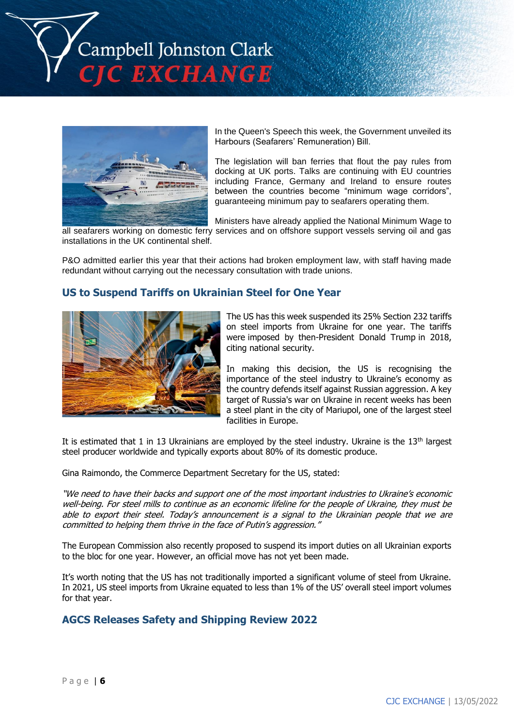Campbell Johnston Clark C EXCHANGE



In the Queen's Speech this week, the Government unveiled its Harbours (Seafarers' Remuneration) Bill.

The legislation will ban ferries that flout the pay rules from docking at UK ports. Talks are continuing with EU countries including France, Germany and Ireland to ensure routes between the countries become "minimum wage corridors", guaranteeing minimum pay to seafarers operating them.

Ministers have already applied the National Minimum Wage to all seafarers working on domestic ferry services and on offshore support vessels serving oil and gas installations in the UK continental shelf.

P&O admitted earlier this year that their actions had broken employment law, with staff having made redundant without carrying out the necessary consultation with trade unions.

#### **US to Suspend Tariffs on Ukrainian Steel for One Year**



The US has this week suspended its 25% Section 232 tariffs on steel imports from Ukraine for one year. The tariffs were imposed by then-President Donald Trump in 2018, citing national security.

In making this decision, the US is recognising the importance of the steel industry to Ukraine's economy as the country defends itself against Russian aggression. A key target of Russia's war on Ukraine in recent weeks has been a steel plant in the city of Mariupol, one of the largest steel facilities in Europe.

It is estimated that 1 in 13 Ukrainians are employed by the steel industry. Ukraine is the  $13<sup>th</sup>$  largest steel producer worldwide and typically exports about 80% of its domestic produce.

Gina Raimondo, the Commerce Department Secretary for the US, stated:

"We need to have their backs and support one of the most important industries to Ukraine's economic well-being. For steel mills to continue as an economic lifeline for the people of Ukraine, they must be able to export their steel. Today's announcement is a signal to the Ukrainian people that we are committed to helping them thrive in the face of Putin's aggression."

The European Commission also recently proposed to suspend its import duties on all Ukrainian exports to the bloc for one year. However, an official move has not yet been made.

It's worth noting that the US has not traditionally imported a significant volume of steel from Ukraine. In 2021, US steel imports from Ukraine equated to less than 1% of the US' overall steel import volumes for that year.

#### **AGCS Releases Safety and Shipping Review 2022**